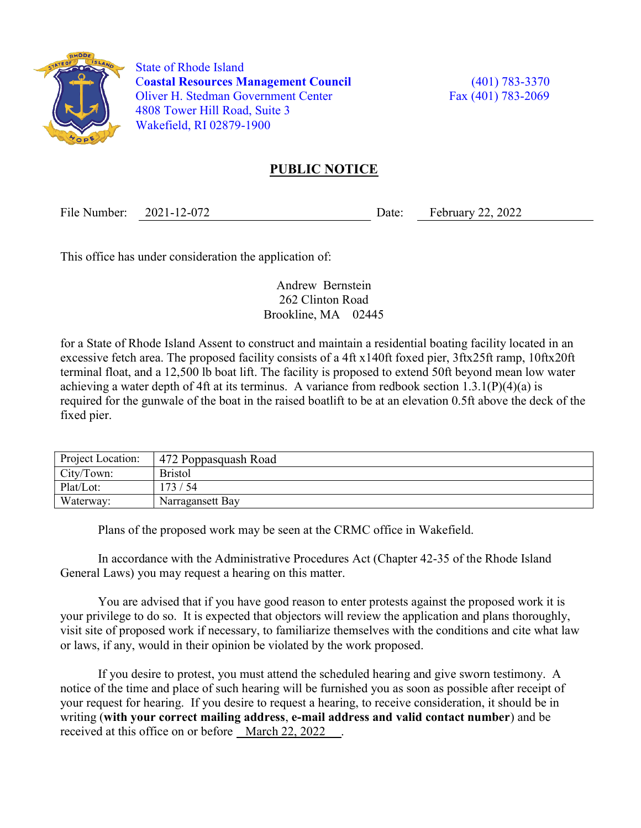

 State of Rhode Island Coastal Resources Management Council (401) 783-3370 Oliver H. Stedman Government Center Fax (401) 783-2069 4808 Tower Hill Road, Suite 3 Wakefield, RI 02879-1900

## PUBLIC NOTICE

File Number: 2021-12-072 Date: February 22, 2022

This office has under consideration the application of:

Andrew Bernstein 262 Clinton Road Brookline, MA 02445

for a State of Rhode Island Assent to construct and maintain a residential boating facility located in an excessive fetch area. The proposed facility consists of a 4ft x140ft foxed pier, 3ftx25ft ramp, 10ftx20ft terminal float, and a 12,500 lb boat lift. The facility is proposed to extend 50ft beyond mean low water achieving a water depth of 4ft at its terminus. A variance from redbook section 1.3.1(P)(4)(a) is required for the gunwale of the boat in the raised boatlift to be at an elevation 0.5ft above the deck of the fixed pier.

| Project Location: | 472 Poppasquash Road |
|-------------------|----------------------|
| City/Town:        | <b>Bristol</b>       |
| Plat/Lot:         | 173/54               |
| Waterway:         | Narragansett Bay     |

Plans of the proposed work may be seen at the CRMC office in Wakefield.

In accordance with the Administrative Procedures Act (Chapter 42-35 of the Rhode Island General Laws) you may request a hearing on this matter.

You are advised that if you have good reason to enter protests against the proposed work it is your privilege to do so. It is expected that objectors will review the application and plans thoroughly, visit site of proposed work if necessary, to familiarize themselves with the conditions and cite what law or laws, if any, would in their opinion be violated by the work proposed.

If you desire to protest, you must attend the scheduled hearing and give sworn testimony. A notice of the time and place of such hearing will be furnished you as soon as possible after receipt of your request for hearing. If you desire to request a hearing, to receive consideration, it should be in writing (with your correct mailing address, e-mail address and valid contact number) and be received at this office on or before March 22, 2022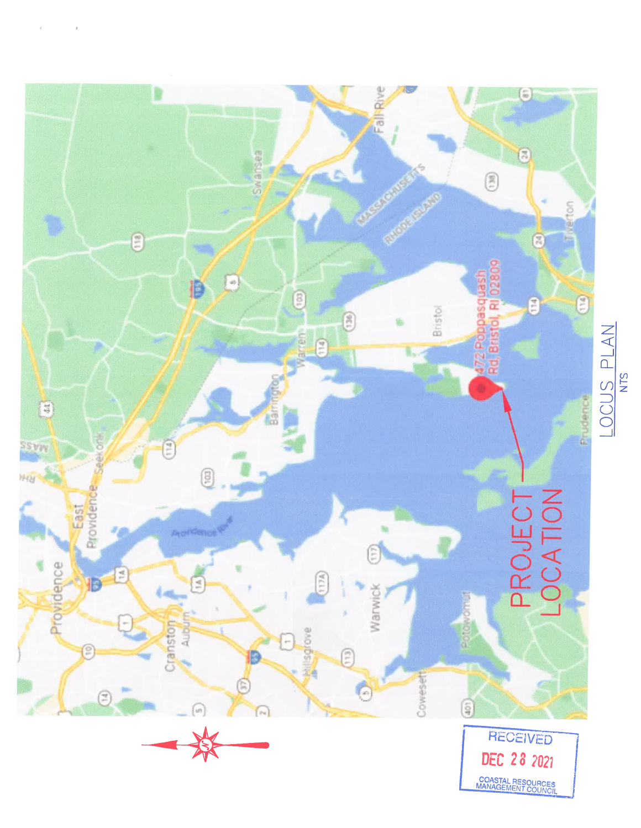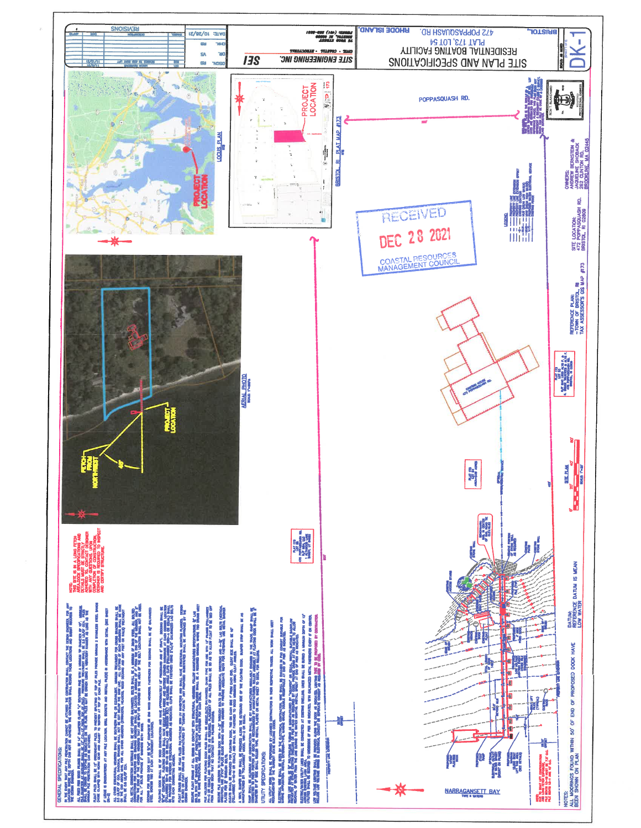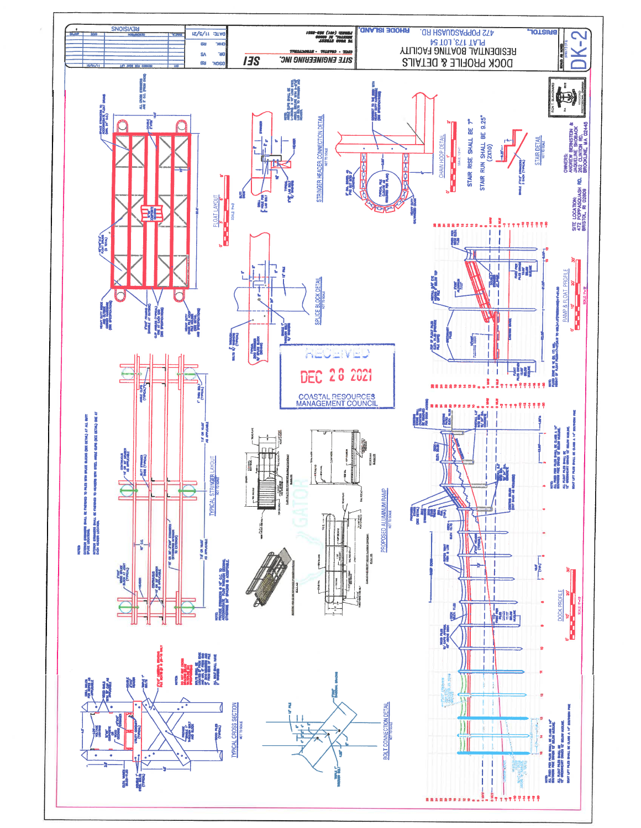